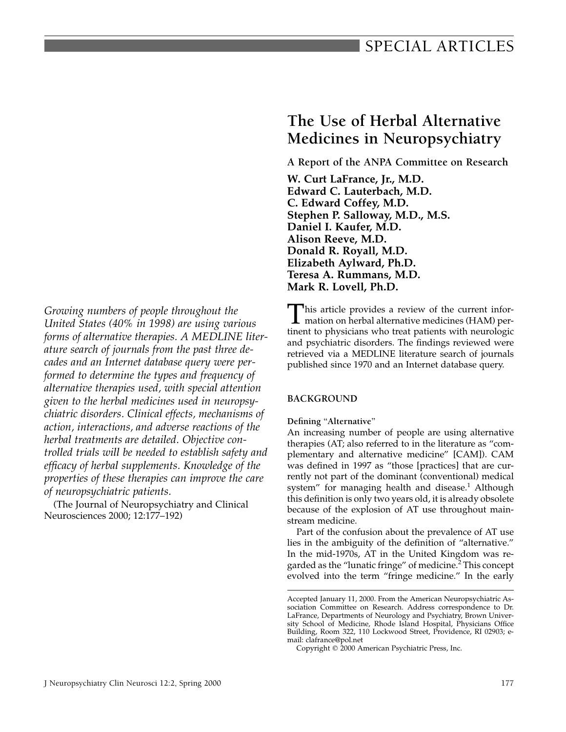# SPECIAL ARTICLES

# *Growing numbers of people throughout the United States (40% in 1998) are using various forms of alternative therapies. AMEDLINE literature search of journals from the past three decades and an Internet database query were performed to determine the types and frequency of alternative therapies used, with special attention given to the herbal medicines used in neuropsychiatric disorders. Clinical effects, mechanisms of action, interactions, and adverse reactions of the herbal treatments are detailed. Objective controlled trials will be needed to establish safety and efficacy of herbal supplements. Knowledge of the properties of these therapies can improve the care of neuropsychiatric patients.*

(The Journal of Neuropsychiatry and Clinical Neurosciences 2000; 12:177–192)

# **The Use of Herbal Alternative Medicines in Neuropsychiatry**

**A Report of the ANPA Committee on Research**

**W. Curt LaFrance, Jr., M.D. Edward C. Lauterbach, M.D. C. Edward Coffey, M.D. Stephen P. Salloway, M.D., M.S. Daniel I. Kaufer, M.D. Alison Reeve, M.D. Donald R. Royall, M.D. Elizabeth Aylward, Ph.D. Teresa A. Rummans, M.D. Mark R. Lovell, Ph.D.**

This article provides a review of the current information on herbal alternative medicines (HAM) pertinent to physicians who treat patients with neurologic and psychiatric disorders. The findings reviewed were retrieved via a MEDLINE literature search of journals published since 1970 and an Internet database query.

# **BACKGROUND**

# **Defining "Alternative"**

An increasing number of people are using alternative therapies (AT; also referred to in the literature as "complementary and alternative medicine" [CAM]). CAM was defined in 1997 as "those [practices] that are currently not part of the dominant (conventional) medical system" for managing health and disease.<sup>1</sup> Although this definition is only two years old, it is already obsolete because of the explosion of AT use throughout mainstream medicine.

Part of the confusion about the prevalence of AT use lies in the ambiguity of the definition of "alternative." In the mid-1970s, AT in the United Kingdom was regarded as the "lunatic fringe" of medicine.<sup>2</sup> This concept evolved into the term "fringe medicine." In the early

Accepted January 11, 2000. From the American Neuropsychiatric Association Committee on Research. Address correspondence to Dr. LaFrance, Departments of Neurology and Psychiatry, Brown University School of Medicine, Rhode Island Hospital, Physicians Office Building, Room 322, 110 Lockwood Street, Providence, RI 02903; email: clafrance@pol.net

Copyright 2000 American Psychiatric Press, Inc.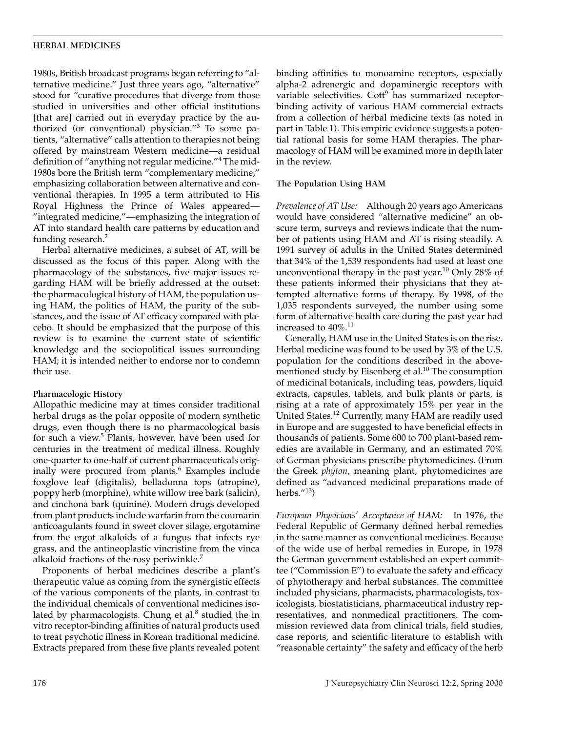1980s, British broadcast programs began referring to "alternative medicine." Just three years ago, "alternative" stood for "curative procedures that diverge from those studied in universities and other official institutions [that are] carried out in everyday practice by the authorized (or conventional) physician."3 To some patients, "alternative" calls attention to therapies not being offered by mainstream Western medicine—a residual definition of "anything not regular medicine."<sup>4</sup> The mid-1980s bore the British term "complementary medicine," emphasizing collaboration between alternative and conventional therapies. In 1995 a term attributed to His Royal Highness the Prince of Wales appeared— "integrated medicine,"—emphasizing the integration of AT into standard health care patterns by education and funding research. $2$ 

Herbal alternative medicines, a subset of AT, will be discussed as the focus of this paper. Along with the pharmacology of the substances, five major issues regarding HAM will be briefly addressed at the outset: the pharmacological history of HAM, the population using HAM, the politics of HAM, the purity of the substances, and the issue of AT efficacy compared with placebo. It should be emphasized that the purpose of this review is to examine the current state of scientific knowledge and the sociopolitical issues surrounding HAM; it is intended neither to endorse nor to condemn their use.

# **Pharmacologic History**

Allopathic medicine may at times consider traditional herbal drugs as the polar opposite of modern synthetic drugs, even though there is no pharmacological basis for such a view.5 Plants, however, have been used for centuries in the treatment of medical illness. Roughly one-quarter to one-half of current pharmaceuticals originally were procured from plants.<sup>6</sup> Examples include foxglove leaf (digitalis), belladonna tops (atropine), poppy herb (morphine), white willow tree bark (salicin), and cinchona bark (quinine). Modern drugs developed from plant products include warfarin from the coumarin anticoagulants found in sweet clover silage, ergotamine from the ergot alkaloids of a fungus that infects rye grass, and the antineoplastic vincristine from the vinca alkaloid fractions of the rosy periwinkle.<sup>7</sup>

Proponents of herbal medicines describe a plant's therapeutic value as coming from the synergistic effects of the various components of the plants, in contrast to the individual chemicals of conventional medicines isolated by pharmacologists. Chung et al. $8$  studied the in vitro receptor-bindingaffinities of natural products used to treat psychotic illness in Korean traditional medicine. Extracts prepared from these five plants revealed potent

binding affinities to monoamine receptors, especially alpha-2 adrenergic and dopaminergic receptors with variable selectivities. Cott<sup>9</sup> has summarized receptorbinding activity of various HAM commercial extracts from a collection of herbal medicine texts (as noted in part in Table 1). This empiric evidence suggests a potential rational basis for some HAM therapies. The pharmacology of HAM will be examined more in depth later in the review.

### **The Population Using HAM**

*Prevalence of AT Use:* Although 20 years ago Americans would have considered "alternative medicine" an obscure term, surveys and reviews indicate that the number of patients using HAM and AT is rising steadily. A 1991 survey of adults in the United States determined that 34% of the 1,539 respondents had used at least one unconventional therapy in the past year.<sup>10</sup> Only 28% of these patients informed their physicians that they attempted alternative forms of therapy. By 1998, of the 1,035 respondents surveyed, the number using some form of alternative health care during the past year had increased to  $40\%$ <sup>11</sup>

Generally, HAM use in the United States is on the rise. Herbal medicine was found to be used by 3% of the U.S. population for the conditions described in the abovementioned study by Eisenberg et al.<sup>10</sup> The consumption of medicinal botanicals, including teas, powders, liquid extracts, capsules, tablets, and bulk plants or parts, is risingat a rate of approximately 15% per year in the United States.12 Currently, many HAM are readily used in Europe and are suggested to have beneficial effects in thousands of patients. Some 600 to 700 plant-based remedies are available in Germany, and an estimated 70% of German physicians prescribe phytomedicines. (From the Greek *phyton*, meaning plant, phytomedicines are defined as "advanced medicinal preparations made of herbs. $^{\prime\prime}$ <sup>13</sup>)

*European Physicians' Acceptance of HAM:* In 1976, the Federal Republic of Germany defined herbal remedies in the same manner as conventional medicines. Because of the wide use of herbal remedies in Europe, in 1978 the German government established an expert committee ("Commission E") to evaluate the safety and efficacy of phytotherapy and herbal substances. The committee included physicians, pharmacists, pharmacologists, toxicologists, biostatisticians, pharmaceutical industry representatives, and nonmedical practitioners. The commission reviewed data from clinical trials, field studies, case reports, and scientific literature to establish with "reasonable certainty" the safety and efficacy of the herb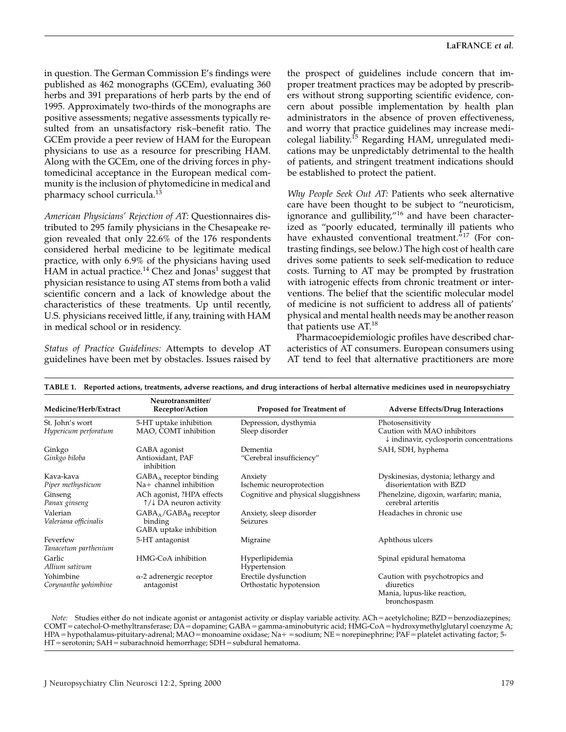in question. The German Commission E's findings were published as 462 monographs (GCEm), evaluating 360 herbs and 391 preparations of herb parts by the end of 1995. Approximately two-thirds of the monographs are positive assessments; negative assessments typically resulted from an unsatisfactory risk–benefit ratio. The GCEm provide a peer review of HAM for the European physicians to use as a resource for prescribing HAM. Along with the GCEm, one of the driving forces in phytomedicinal acceptance in the European medical community is the inclusion of phytomedicine in medical and pharmacy school curricula.<sup>13</sup>

*American Physicians' Rejection of AT:* Questionnaires distributed to 295 family physicians in the Chesapeake region revealed that only 22.6% of the 176 respondents considered herbal medicine to be legitimate medical practice, with only 6.9% of the physicians having used HAM in actual practice.<sup>14</sup> Chez and Jonas<sup>1</sup> suggest that physician resistance to usingAT stems from both a valid scientific concern and a lack of knowledge about the characteristics of these treatments. Up until recently, U.S. physicians received little, if any, training with HAM in medical school or in residency.

*Status of Practice Guidelines:* Attempts to develop AT guidelines have been met by obstacles. Issues raised by the prospect of guidelines include concern that improper treatment practices may be adopted by prescribers without strong supporting scientific evidence, concern about possible implementation by health plan administrators in the absence of proven effectiveness, and worry that practice guidelines may increase medicolegal liability.15 Regarding HAM, unregulated medications may be unpredictably detrimental to the health of patients, and stringent treatment indications should be established to protect the patient.

*Why People Seek Out AT:* Patients who seek alternative care have been thought to be subject to "neuroticism, ignorance and gullibility, $^{\prime\prime 16}$  and have been characterized as "poorly educated, terminally ill patients who have exhausted conventional treatment."<sup>17</sup> (For contrasting findings, see below.) The high cost of health care drives some patients to seek self-medication to reduce costs. Turning to AT may be prompted by frustration with iatrogenic effects from chronic treatment or interventions. The belief that the scientific molecular model of medicine is not sufficient to address all of patients' physical and mental health needs may be another reason that patients use AT.18

Pharmacoepidemiologic profiles have described characteristics of AT consumers. European consumers using AT tend to feel that alternative practitioners are more

| Medicine/Herb/Extract             | Neurotransmitter/<br>Receptor/Action                          | Proposed for Treatment of           | <b>Adverse Effects/Drug Interactions</b>                               |
|-----------------------------------|---------------------------------------------------------------|-------------------------------------|------------------------------------------------------------------------|
| St. John's wort                   | 5-HT uptake inhibition                                        | Depression, dysthymia               | Photosensitivity                                                       |
| Hypericum perforatum              | MAO, COMT inhibition                                          | Sleep disorder                      | Caution with MAO inhibitors<br>↓ indinavir, cyclosporin concentrations |
| Ginkgo                            | GABA agonist                                                  | Dementia                            | SAH, SDH, hyphema                                                      |
| Ginkgo biloba                     | Antioxidant, PAF<br>inhibition                                | "Cerebral insufficiency"            |                                                                        |
| Kava-kava<br>Piper methysticum    | $GABA_A$ receptor binding                                     | Anxiety                             | Dyskinesias, dystonia; lethargy and<br>disorientation with BZD         |
|                                   | Na+ channel inhibition                                        | Ischemic neuroprotection            |                                                                        |
| Ginseng<br>Panax ginseng          | ACh agonist, ?HPA effects<br>↑/↓ DA neuron activity           | Cognitive and physical sluggishness | Phenelzine, digoxin, warfarin; mania,<br>cerebral arteritis            |
| Valerian<br>Valeriana officinalis | $GABA_A/GABA_B$ receptor<br>binding<br>GABA uptake inhibition | Anxiety, sleep disorder<br>Seizures | Headaches in chronic use                                               |
| Feverfew<br>Tanacetum parthenium  | 5-HT antagonist                                               | Migraine                            | Aphthous ulcers                                                        |
| Garlic<br>Allium sativum          | HMG-CoA inhibition                                            | Hyperlipidemia<br>Hypertension      | Spinal epidural hematoma                                               |
| Yohimbine                         | $\alpha$ -2 adrenergic receptor                               | Erectile dysfunction                | Caution with psychotropics and                                         |
| Corynanthe yohimbine              | antagonist                                                    | Orthostatic hypotension             | diuretics                                                              |
|                                   |                                                               |                                     | Mania, lupus-like reaction,<br>bronchospasm                            |

| TABLE 1. Reported actions, treatments, adverse reactions, and drug interactions of herbal alternative medicines used in neuropsychiatry |                                      |                           |                                          |  |  |
|-----------------------------------------------------------------------------------------------------------------------------------------|--------------------------------------|---------------------------|------------------------------------------|--|--|
| Medicine/Herb/Extract                                                                                                                   | Neurotransmitter/<br>Receptor/Action | Proposed for Treatment of | <b>Adverse Effects/Drug Interactions</b> |  |  |

*Note:* Studies either do not indicate agonist or antagonist activity or display variable activity. ACh = acetylcholine; BZD = benzodiazepines; COMT = catechol-O-methyltransferase; DA = dopamine; GABA = gamma-aminobutyric acid; HMG-CoA = hydroxymethylglutaryl coenzyme A; HPA = hypothalamus-pituitary-adrenal; MAO = monoamine oxidase; Na+ = sodium; NE = norepinephrine; PAF = platelet activating factor; 5-HT = serotonin; SAH = subarachnoid hemorrhage; SDH = subdural hematoma.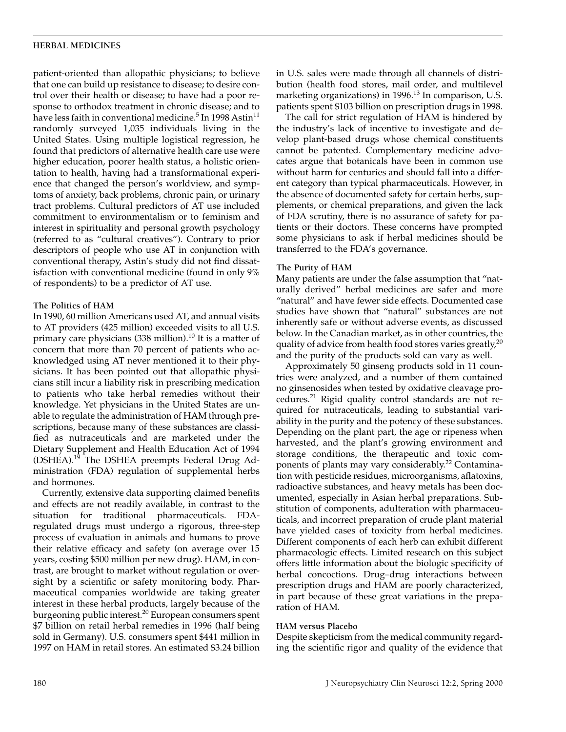patient-oriented than allopathic physicians; to believe that one can build up resistance to disease; to desire control over their health or disease; to have had a poor response to orthodox treatment in chronic disease; and to have less faith in conventional medicine.<sup>5</sup> In 1998 Astin<sup>11</sup> randomly surveyed 1,035 individuals living in the United States. Using multiple logistical regression, he found that predictors of alternative health care use were higher education, poorer health status, a holistic orientation to health, having had a transformational experience that changed the person's worldview, and symptoms of anxiety, back problems, chronic pain, or urinary tract problems. Cultural predictors of AT use included commitment to environmentalism or to feminism and interest in spirituality and personal growth psychology (referred to as "cultural creatives"). Contrary to prior descriptors of people who use AT in conjunction with conventional therapy, Astin's study did not find dissatisfaction with conventional medicine (found in only 9% of respondents) to be a predictor of AT use.

# **The Politics of HAM**

In 1990, 60 million Americans used AT, and annual visits to AT providers (425 million) exceeded visits to all U.S. primary care physicians  $(338 \text{ million})^{10}$  It is a matter of concern that more than 70 percent of patients who acknowledged using AT never mentioned it to their physicians. It has been pointed out that allopathic physicians still incur a liability risk in prescribing medication to patients who take herbal remedies without their knowledge. Yet physicians in the United States are unable to regulate the administration of HAM through prescriptions, because many of these substances are classified as nutraceuticals and are marketed under the Dietary Supplement and Health Education Act of 1994 (DSHEA).<sup>19</sup> The DSHEA preempts Federal Drug Administration (FDA) regulation of supplemental herbs and hormones.

Currently, extensive data supporting claimed benefits and effects are not readily available, in contrast to the situation for traditional pharmaceuticals. FDAregulated drugs must undergo a rigorous, three-step process of evaluation in animals and humans to prove their relative efficacy and safety (on average over 15 years, costing\$500 million per new drug). HAM, in contrast, are brought to market without regulation or oversight by a scientific or safety monitoring body. Pharmaceutical companies worldwide are taking greater interest in these herbal products, largely because of the burgeoning public interest.<sup>20</sup> European consumers spent \$7 billion on retail herbal remedies in 1996 (half being sold in Germany). U.S. consumers spent \$441 million in 1997 on HAM in retail stores. An estimated \$3.24 billion

in U.S. sales were made through all channels of distribution (health food stores, mail order, and multilevel marketing organizations) in 1996.<sup>13</sup> In comparison, U.S. patients spent \$103 billion on prescription drugs in 1998.

The call for strict regulation of HAM is hindered by the industry's lack of incentive to investigate and develop plant-based drugs whose chemical constituents cannot be patented. Complementary medicine advocates argue that botanicals have been in common use without harm for centuries and should fall into a different category than typical pharmaceuticals. However, in the absence of documented safety for certain herbs, supplements, or chemical preparations, and given the lack of FDA scrutiny, there is no assurance of safety for patients or their doctors. These concerns have prompted some physicians to ask if herbal medicines should be transferred to the FDA's governance.

## **The Purity of HAM**

Many patients are under the false assumption that "naturally derived" herbal medicines are safer and more "natural" and have fewer side effects. Documented case studies have shown that "natural" substances are not inherently safe or without adverse events, as discussed below. In the Canadian market, as in other countries, the quality of advice from health food stores varies greatly, $^{20}$ and the purity of the products sold can vary as well.

Approximately 50 ginseng products sold in 11 countries were analyzed, and a number of them contained no ginsenosides when tested by oxidative cleavage procedures.<sup>21</sup> Rigid quality control standards are not required for nutraceuticals, leading to substantial variability in the purity and the potency of these substances. Depending on the plant part, the age or ripeness when harvested, and the plant's growing environment and storage conditions, the therapeutic and toxic components of plants may vary considerably.<sup>22</sup> Contamination with pesticide residues, microorganisms, aflatoxins, radioactive substances, and heavy metals has been documented, especially in Asian herbal preparations. Substitution of components, adulteration with pharmaceuticals, and incorrect preparation of crude plant material have yielded cases of toxicity from herbal medicines. Different components of each herb can exhibit different pharmacologic effects. Limited research on this subject offers little information about the biologic specificity of herbal concoctions. Drug–drug interactions between prescription drugs and HAM are poorly characterized, in part because of these great variations in the preparation of HAM.

#### **HAM versus Placebo**

Despite skepticism from the medical community regarding the scientific rigor and quality of the evidence that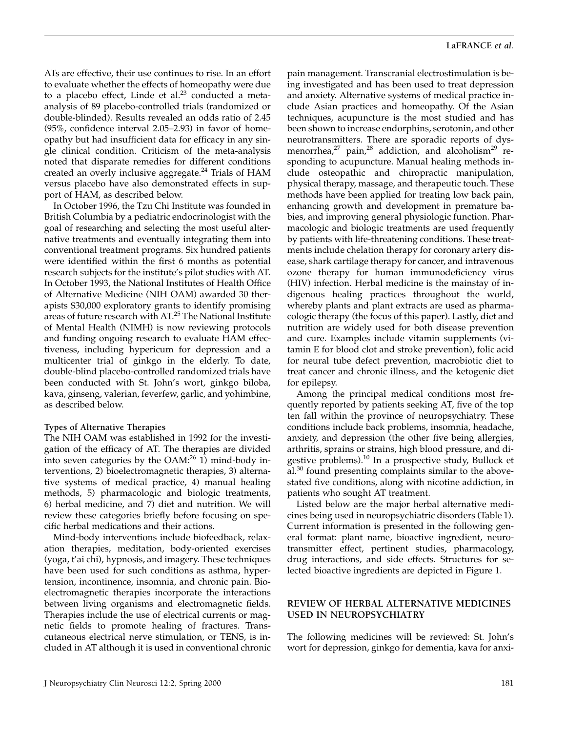ATs are effective, their use continues to rise. In an effort to evaluate whether the effects of homeopathy were due to a placebo effect, Linde et al. $^{23}$  conducted a metaanalysis of 89 placebo-controlled trials (randomized or double-blinded). Results revealed an odds ratio of 2.45 (95%, confidence interval 2.05–2.93) in favor of homeopathy but had insufficient data for efficacy in any single clinical condition. Criticism of the meta-analysis noted that disparate remedies for different conditions created an overly inclusive aggregate.<sup>24</sup> Trials of HAM versus placebo have also demonstrated effects in support of HAM, as described below.

In October 1996, the Tzu Chi Institute was founded in British Columbia by a pediatric endocrinologist with the goal of researching and selecting the most useful alternative treatments and eventually integrating them into conventional treatment programs. Six hundred patients were identified within the first 6 months as potential research subjects for the institute's pilot studies with AT. In October 1993, the National Institutes of Health Office of Alternative Medicine (NIH OAM) awarded 30 therapists \$30,000 exploratory grants to identify promising areas of future research with AT.25 The National Institute of Mental Health (NIMH) is now reviewing protocols and funding ongoing research to evaluate HAM effectiveness, including hypericum for depression and a multicenter trial of ginkgo in the elderly. To date, double-blind placebo-controlled randomized trials have been conducted with St. John's wort, ginkgo biloba, kava, ginseng, valerian, feverfew, garlic, and yohimbine, as described below.

## **Types of Alternative Therapies**

The NIH OAM was established in 1992 for the investigation of the efficacy of AT. The therapies are divided into seven categories by the  $OAM$ <sup>26</sup> 1) mind-body interventions, 2) bioelectromagnetic therapies, 3) alternative systems of medical practice, 4) manual healing methods, 5) pharmacologic and biologic treatments, 6) herbal medicine, and 7) diet and nutrition. We will review these categories briefly before focusing on specific herbal medications and their actions.

Mind-body interventions include biofeedback, relaxation therapies, meditation, body-oriented exercises (yoga, t'ai chi), hypnosis, and imagery. These techniques have been used for such conditions as asthma, hypertension, incontinence, insomnia, and chronic pain. Bioelectromagnetic therapies incorporate the interactions between living organisms and electromagnetic fields. Therapies include the use of electrical currents or magnetic fields to promote healing of fractures. Transcutaneous electrical nerve stimulation, or TENS, is included in AT although it is used in conventional chronic

pain management. Transcranial electrostimulation is being investigated and has been used to treat depression and anxiety. Alternative systems of medical practice include Asian practices and homeopathy. Of the Asian techniques, acupuncture is the most studied and has been shown to increase endorphins, serotonin, and other neurotransmitters. There are sporadic reports of dysmenorrhea, $^{27}$  pain, $^{28}$  addiction, and alcoholism<sup>29</sup> responding to acupuncture. Manual healing methods include osteopathic and chiropractic manipulation, physical therapy, massage, and therapeutic touch. These methods have been applied for treating low back pain, enhancing growth and development in premature babies, and improving general physiologic function. Pharmacologic and biologic treatments are used frequently by patients with life-threatening conditions. These treatments include chelation therapy for coronary artery disease, shark cartilage therapy for cancer, and intravenous ozone therapy for human immunodeficiency virus (HIV) infection. Herbal medicine is the mainstay of indigenous healing practices throughout the world, whereby plants and plant extracts are used as pharmacologic therapy (the focus of this paper). Lastly, diet and nutrition are widely used for both disease prevention and cure. Examples include vitamin supplements (vitamin E for blood clot and stroke prevention), folic acid for neural tube defect prevention, macrobiotic diet to treat cancer and chronic illness, and the ketogenic diet for epilepsy.

Among the principal medical conditions most frequently reported by patients seekingAT, five of the top ten fall within the province of neuropsychiatry. These conditions include back problems, insomnia, headache, anxiety, and depression (the other five being allergies, arthritis, sprains or strains, high blood pressure, and digestive problems).10 In a prospective study, Bullock et  $al.^{30}$  found presenting complaints similar to the abovestated five conditions, along with nicotine addiction, in patients who sought AT treatment.

Listed below are the major herbal alternative medicines being used in neuropsychiatric disorders (Table 1). Current information is presented in the following general format: plant name, bioactive ingredient, neurotransmitter effect, pertinent studies, pharmacology, drug interactions, and side effects. Structures for selected bioactive ingredients are depicted in Figure 1.

## **REVIEW OF HERBAL ALTERNATIVE MEDICINES USED IN NEUROPSYCHIATRY**

The following medicines will be reviewed: St. John's wort for depression, ginkgo for dementia, kava for anxi-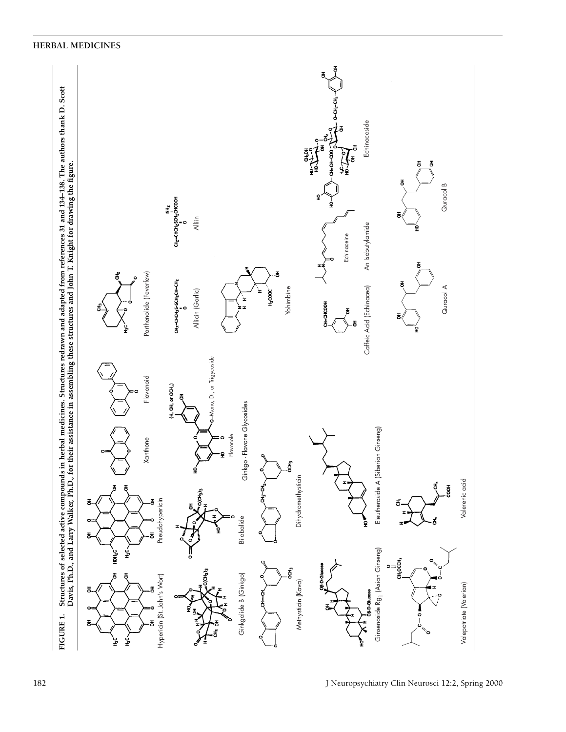

182 J Neuropsychiatry Clin Neurosci 12:2, Spring 2000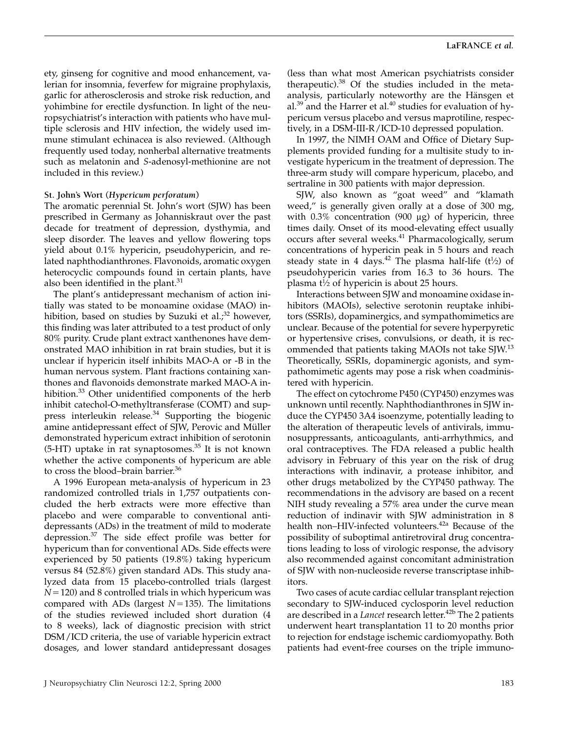ety, ginseng for cognitive and mood enhancement, valerian for insomnia, feverfew for migraine prophylaxis, garlic for atherosclerosis and stroke risk reduction, and yohimbine for erectile dysfunction. In light of the neuropsychiatrist's interaction with patients who have multiple sclerosis and HIV infection, the widely used immune stimulant echinacea is also reviewed. (Although frequently used today, nonherbal alternative treatments such as melatonin and *S*-adenosyl-methionine are not included in this review.)

#### **St. John's Wort (***Hypericum perforatum***)**

The aromatic perennial St. John's wort (SJW) has been prescribed in Germany as Johanniskraut over the past decade for treatment of depression, dysthymia, and sleep disorder. The leaves and yellow flowering tops yield about 0.1% hypericin, pseudohypericin, and related naphthodianthrones. Flavonoids, aromatic oxygen heterocyclic compounds found in certain plants, have also been identified in the plant.<sup>31</sup>

The plant's antidepressant mechanism of action initially was stated to be monoamine oxidase (MAO) inhibition, based on studies by Suzuki et al.; $32$  however, this findingwas later attributed to a test product of only 80% purity. Crude plant extract xanthenones have demonstrated MAO inhibition in rat brain studies, but it is unclear if hypericin itself inhibits MAO-A or -B in the human nervous system. Plant fractions containing xanthones and flavonoids demonstrate marked MAO-A inhibition.<sup>33</sup> Other unidentified components of the herb inhibit catechol-O-methyltransferase (COMT) and suppress interleukin release. $34$  Supporting the biogenic amine antidepressant effect of SJW, Perovic and Müller demonstrated hypericum extract inhibition of serotonin  $(5-HT)$  uptake in rat synaptosomes.<sup>35</sup> It is not known whether the active components of hypericum are able to cross the blood–brain barrier.<sup>36</sup>

A 1996 European meta-analysis of hypericum in 23 randomized controlled trials in 1,757 outpatients concluded the herb extracts were more effective than placebo and were comparable to conventional antidepressants (ADs) in the treatment of mild to moderate depression.37 The side effect profile was better for hypericum than for conventional ADs. Side effects were experienced by 50 patients  $(19.8%)$  taking hypericum versus 84 (52.8%) given standard ADs. This study analyzed data from 15 placebo-controlled trials (largest  $N=120$ ) and 8 controlled trials in which hypericum was compared with ADs (largest  $N=135$ ). The limitations of the studies reviewed included short duration (4 to 8 weeks), lack of diagnostic precision with strict DSM/ICD criteria, the use of variable hypericin extract dosages, and lower standard antidepressant dosages (less than what most American psychiatrists consider therapeutic).38 Of the studies included in the metaanalysis, particularly noteworthy are the Hänsgen et  $al.^{39}$  and the Harrer et al.<sup>40</sup> studies for evaluation of hypericum versus placebo and versus maprotiline, respectively, in a DSM-III-R/ICD-10 depressed population.

In 1997, the NIMH OAM and Office of Dietary Supplements provided funding for a multisite study to investigate hypericum in the treatment of depression. The three-arm study will compare hypericum, placebo, and sertraline in 300 patients with major depression.

SJW, also known as "goat weed" and "klamath weed," is generally given orally at a dose of 300 mg, with  $0.3\%$  concentration (900  $\mu$ g) of hypericin, three times daily. Onset of its mood-elevating effect usually occurs after several weeks.<sup>41</sup> Pharmacologically, serum concentrations of hypericin peak in 5 hours and reach steady state in 4 days.<sup>42</sup> The plasma half-life  $(t\frac{1}{2})$  of pseudohypericin varies from 16.3 to 36 hours. The plasma  $t<sup>1</sup>$  of hypericin is about 25 hours.

Interactions between SJW and monoamine oxidase inhibitors (MAOIs), selective serotonin reuptake inhibitors (SSRIs), dopaminergics, and sympathomimetics are unclear. Because of the potential for severe hyperpyretic or hypertensive crises, convulsions, or death, it is recommended that patients taking MAOIs not take SJW.<sup>13</sup> Theoretically, SSRIs, dopaminergic agonists, and sympathomimetic agents may pose a risk when coadministered with hypericin.

The effect on cytochrome P450 (CYP450) enzymes was unknown until recently. Naphthodianthrones in SJW induce the CYP450 3A4 isoenzyme, potentially leading to the alteration of therapeutic levels of antivirals, immunosuppressants, anticoagulants, anti-arrhythmics, and oral contraceptives. The FDA released a public health advisory in February of this year on the risk of drug interactions with indinavir, a protease inhibitor, and other drugs metabolized by the CYP450 pathway. The recommendations in the advisory are based on a recent NIH study revealing a 57% area under the curve mean reduction of indinavir with SJW administration in 8 health non-HIV-infected volunteers.<sup>42a</sup> Because of the possibility of suboptimal antiretroviral drug concentrations leading to loss of virologic response, the advisory also recommended against concomitant administration of SJW with non-nucleoside reverse transcriptase inhibitors.

Two cases of acute cardiac cellular transplant rejection secondary to SJW-induced cyclosporin level reduction are described in a *Lancet* research letter.<sup>42b</sup> The 2 patients underwent heart transplantation 11 to 20 months prior to rejection for endstage ischemic cardiomyopathy. Both patients had event-free courses on the triple immuno-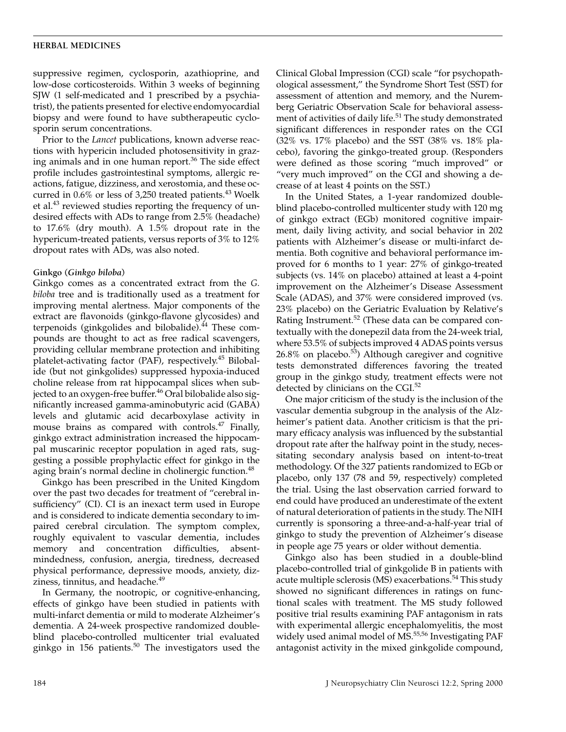suppressive regimen, cyclosporin, azathioprine, and low-dose corticosteroids. Within 3 weeks of beginning SJW (1 self-medicated and 1 prescribed by a psychiatrist), the patients presented for elective endomyocardial biopsy and were found to have subtherapeutic cyclosporin serum concentrations.

Prior to the *Lancet* publications, known adverse reactions with hypericin included photosensitivity in grazing animals and in one human report.<sup>36</sup> The side effect profile includes gastrointestinal symptoms, allergic reactions, fatigue, dizziness, and xerostomia, and these occurred in  $0.6\%$  or less of 3,250 treated patients.<sup>43</sup> Woelk et al.<sup>43</sup> reviewed studies reporting the frequency of undesired effects with ADs to range from 2.5% (headache) to 17.6% (dry mouth). A 1.5% dropout rate in the hypericum-treated patients, versus reports of 3% to 12% dropout rates with ADs, was also noted.

#### **Ginkgo (***Ginkgo biloba***)**

Ginkgo comes as a concentrated extract from the *G. biloba* tree and is traditionally used as a treatment for improving mental alertness. Major components of the extract are flavonoids (ginkgo-flavone glycosides) and terpenoids (ginkgolides and bilobalide).<sup>44</sup> These compounds are thought to act as free radical scavengers, providing cellular membrane protection and inhibiting platelet-activating factor (PAF), respectively.<sup>45</sup> Bilobalide (but not ginkgolides) suppressed hypoxia-induced choline release from rat hippocampal slices when subjected to an oxygen-free buffer.<sup>46</sup> Oral bilobalide also significantly increased gamma-aminobutyric acid (GABA) levels and glutamic acid decarboxylase activity in mouse brains as compared with controls. $47$  Finally, ginkgo extract administration increased the hippocampal muscarinic receptor population in aged rats, suggesting a possible prophylactic effect for ginkgo in the aging brain's normal decline in cholinergic function.<sup>48</sup>

Ginkgo has been prescribed in the United Kingdom over the past two decades for treatment of "cerebral insufficiency" (CI). CI is an inexact term used in Europe and is considered to indicate dementia secondary to impaired cerebral circulation. The symptom complex, roughly equivalent to vascular dementia, includes memory and concentration difficulties, absentmindedness, confusion, anergia, tiredness, decreased physical performance, depressive moods, anxiety, dizziness, tinnitus, and headache.<sup>49</sup>

In Germany, the nootropic, or cognitive-enhancing, effects of ginkgo have been studied in patients with multi-infarct dementia or mild to moderate Alzheimer's dementia. A 24-week prospective randomized doubleblind placebo-controlled multicenter trial evaluated ginkgo in 156 patients. $50$  The investigators used the Clinical Global Impression (CGI) scale "for psychopathological assessment," the Syndrome Short Test (SST) for assessment of attention and memory, and the Nuremberg Geriatric Observation Scale for behavioral assessment of activities of daily life.<sup>51</sup> The study demonstrated significant differences in responder rates on the CGI (32% vs. 17% placebo) and the SST (38% vs. 18% placebo), favoring the ginkgo-treated group. (Responders were defined as those scoring "much improved" or "very much improved" on the CGI and showing a decrease of at least 4 points on the SST.)

In the United States, a 1-year randomized doubleblind placebo-controlled multicenter study with 120 mg of ginkgo extract (EGb) monitored cognitive impairment, daily living activity, and social behavior in 202 patients with Alzheimer's disease or multi-infarct dementia. Both cognitive and behavioral performance improved for 6 months to 1 year: 27% of ginkgo-treated subjects (vs. 14% on placebo) attained at least a 4-point improvement on the Alzheimer's Disease Assessment Scale (ADAS), and 37% were considered improved (vs. 23% placebo) on the Geriatric Evaluation by Relative's Rating Instrument.<sup>52</sup> (These data can be compared contextually with the donepezil data from the 24-week trial, where 53.5% of subjects improved 4 ADAS points versus  $26.8\%$  on placebo.<sup>53</sup>) Although caregiver and cognitive tests demonstrated differences favoring the treated group in the ginkgo study, treatment effects were not detected by clinicians on the CGI. $52$ 

One major criticism of the study is the inclusion of the vascular dementia subgroup in the analysis of the Alzheimer's patient data. Another criticism is that the primary efficacy analysis was influenced by the substantial dropout rate after the halfway point in the study, necessitating secondary analysis based on intent-to-treat methodology. Of the 327 patients randomized to EGb or placebo, only 137 (78 and 59, respectively) completed the trial. Using the last observation carried forward to end could have produced an underestimate of the extent of natural deterioration of patients in the study. The NIH currently is sponsoring a three-and-a-half-year trial of ginkgo to study the prevention of Alzheimer's disease in people age 75 years or older without dementia.

Ginkgo also has been studied in a double-blind placebo-controlled trial of ginkgolide B in patients with acute multiple sclerosis (MS) exacerbations.<sup>54</sup> This study showed no significant differences in ratings on functional scales with treatment. The MS study followed positive trial results examining PAF antagonism in rats with experimental allergic encephalomyelitis, the most widely used animal model of MS.<sup>55,56</sup> Investigating PAF antagonist activity in the mixed ginkgolide compound,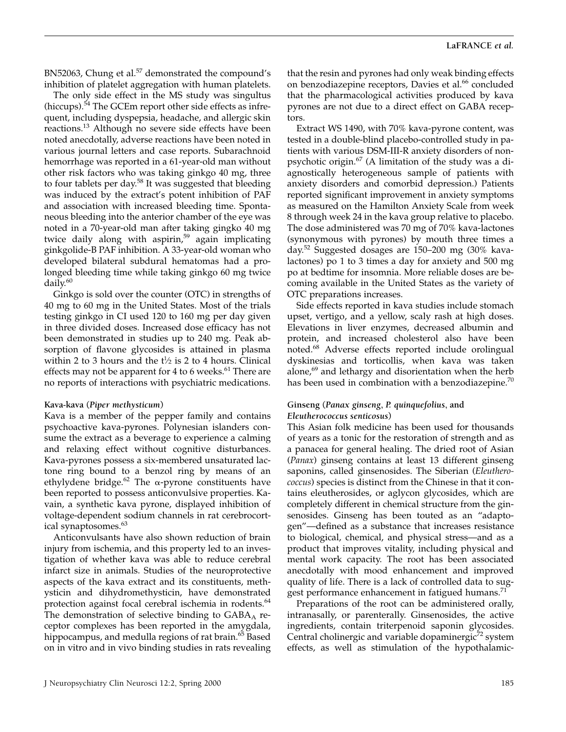BN52063, Chung et al.<sup>57</sup> demonstrated the compound's inhibition of platelet aggregation with human platelets.

The only side effect in the MS study was singultus (hiccups). $54$  The GCEm report other side effects as infrequent, including dyspepsia, headache, and allergic skin reactions.13 Although no severe side effects have been noted anecdotally, adverse reactions have been noted in various journal letters and case reports. Subarachnoid hemorrhage was reported in a 61-year-old man without other risk factors who was taking ginkgo 40 mg, three to four tablets per day.<sup>58</sup> It was suggested that bleeding was induced by the extract's potent inhibition of PAF and association with increased bleeding time. Spontaneous bleeding into the anterior chamber of the eye was noted in a 70-year-old man after taking gingko 40 mg twice daily along with aspirin, $59$  again implicating ginkgolide-B PAF inhibition. A 33-year-old woman who developed bilateral subdural hematomas had a prolonged bleeding time while taking ginkgo 60 mg twice daily.60

Ginkgo is sold over the counter (OTC) in strengths of 40 mg to 60 mg in the United States. Most of the trials testing ginkgo in CI used 120 to 160 mg per day given in three divided doses. Increased dose efficacy has not been demonstrated in studies up to 240 mg. Peak absorption of flavone glycosides is attained in plasma within 2 to 3 hours and the  $t\frac{1}{2}$  is 2 to 4 hours. Clinical effects may not be apparent for 4 to 6 weeks. $61$  There are no reports of interactions with psychiatric medications.

#### **Kava-kava (***Piper methysticum***)**

Kava is a member of the pepper family and contains psychoactive kava-pyrones. Polynesian islanders consume the extract as a beverage to experience a calming and relaxing effect without cognitive disturbances. Kava-pyrones possess a six-membered unsaturated lactone ring bound to a benzol ring by means of an ethylydene bridge.<sup>62</sup> The  $\alpha$ -pyrone constituents have been reported to possess anticonvulsive properties. Kavain, a synthetic kava pyrone, displayed inhibition of voltage-dependent sodium channels in rat cerebrocortical synaptosomes.63

Anticonvulsants have also shown reduction of brain injury from ischemia, and this property led to an investigation of whether kava was able to reduce cerebral infarct size in animals. Studies of the neuroprotective aspects of the kava extract and its constituents, methysticin and dihydromethysticin, have demonstrated protection against focal cerebral ischemia in rodents.<sup>64</sup> The demonstration of selective binding to  $GABA_A$  receptor complexes has been reported in the amygdala, hippocampus, and medulla regions of rat brain.<sup>65</sup> Based on in vitro and in vivo binding studies in rats revealing that the resin and pyrones had only weak bindingeffects on benzodiazepine receptors, Davies et al.<sup>66</sup> concluded that the pharmacological activities produced by kava pyrones are not due to a direct effect on GABA receptors.

Extract WS 1490, with 70% kava-pyrone content, was tested in a double-blind placebo-controlled study in patients with various DSM-III-R anxiety disorders of nonpsychotic origin.67 (A limitation of the study was a diagnostically heterogeneous sample of patients with anxiety disorders and comorbid depression.) Patients reported significant improvement in anxiety symptoms as measured on the Hamilton Anxiety Scale from week 8 through week 24 in the kava group relative to placebo. The dose administered was 70 mg of 70% kava-lactones (synonymous with pyrones) by mouth three times a day.52 Suggested dosages are 150–200 mg (30% kavalactones) po 1 to 3 times a day for anxiety and 500 mg po at bedtime for insomnia. More reliable doses are becoming available in the United States as the variety of OTC preparations increases.

Side effects reported in kava studies include stomach upset, vertigo, and a yellow, scaly rash at high doses. Elevations in liver enzymes, decreased albumin and protein, and increased cholesterol also have been noted.68 Adverse effects reported include orolingual dyskinesias and torticollis, when kava was taken alone, $69$  and lethargy and disorientation when the herb has been used in combination with a benzodiazepine.<sup>70</sup>

#### **Ginseng (***Panax ginseng***,** *P. quinquefolius***, and** *Eleutherococcus senticosus***)**

This Asian folk medicine has been used for thousands of years as a tonic for the restoration of strength and as a panacea for general healing. The dried root of Asian (*Panax*) ginseng contains at least 13 different ginseng saponins, called ginsenosides. The Siberian (*Eleutherococcus*) species is distinct from the Chinese in that it contains eleutherosides, or aglycon glycosides, which are completely different in chemical structure from the ginsenosides. Ginseng has been touted as an "adaptogen"—defined as a substance that increases resistance to biological, chemical, and physical stress—and as a product that improves vitality, including physical and mental work capacity. The root has been associated anecdotally with mood enhancement and improved quality of life. There is a lack of controlled data to suggest performance enhancement in fatigued humans.<sup>71</sup>

Preparations of the root can be administered orally, intranasally, or parenterally. Ginsenosides, the active ingredients, contain triterpenoid saponin glycosides. Central cholinergic and variable dopaminergic<sup>72</sup> system effects, as well as stimulation of the hypothalamic-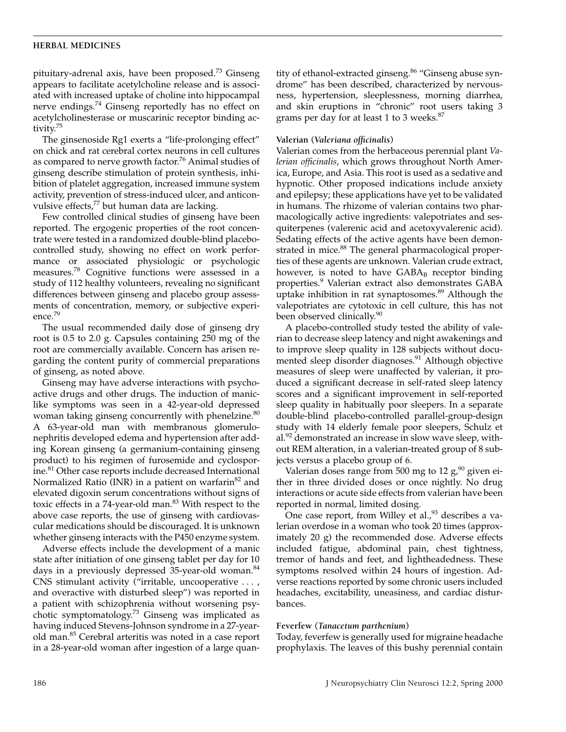pituitary-adrenal axis, have been proposed.<sup>73</sup> Ginseng appears to facilitate acetylcholine release and is associated with increased uptake of choline into hippocampal nerve endings.<sup>74</sup> Ginseng reportedly has no effect on acetylcholinesterase or muscarinic receptor binding activity.<sup>75</sup>

The ginsenoside Rg1 exerts a "life-prolonging effect" on chick and rat cerebral cortex neurons in cell cultures as compared to nerve growth factor.<sup>76</sup> Animal studies of ginseng describe stimulation of protein synthesis, inhibition of platelet aggregation, increased immune system activity, prevention of stress-induced ulcer, and anticonvulsive effects, $77$  but human data are lacking.

Few controlled clinical studies of ginseng have been reported. The ergogenic properties of the root concentrate were tested in a randomized double-blind placebocontrolled study, showing no effect on work performance or associated physiologic or psychologic measures.78 Cognitive functions were assessed in a study of 112 healthy volunteers, revealing no significant differences between ginseng and placebo group assessments of concentration, memory, or subjective experience.79

The usual recommended daily dose of ginseng dry root is  $0.5$  to  $2.0$  g. Capsules containing  $250$  mg of the root are commercially available. Concern has arisen regarding the content purity of commercial preparations of ginseng, as noted above.

Ginseng may have adverse interactions with psychoactive drugs and other drugs. The induction of maniclike symptoms was seen in a 42-year-old depressed woman taking ginseng concurrently with phenelzine.<sup>80</sup> A 63-year-old man with membranous glomerulonephritis developed edema and hypertension after adding Korean ginseng (a germanium-containing ginseng product) to his regimen of furosemide and cyclosporine.<sup>81</sup> Other case reports include decreased International Normalized Ratio (INR) in a patient on warfarin<sup>82</sup> and elevated digoxin serum concentrations without signs of toxic effects in a 74-year-old man.<sup>83</sup> With respect to the above case reports, the use of ginseng with cardiovascular medications should be discouraged. It is unknown whether ginseng interacts with the P450 enzyme system.

Adverse effects include the development of a manic state after initiation of one ginseng tablet per day for 10 days in a previously depressed 35-year-old woman.<sup>84</sup> CNS stimulant activity ("irritable, uncooperative . . . , and overactive with disturbed sleep") was reported in a patient with schizophrenia without worsening psychotic symptomatology.<sup>73</sup> Ginseng was implicated as having induced Stevens-Johnson syndrome in a 27-yearold man.85 Cerebral arteritis was noted in a case report in a 28-year-old woman after ingestion of a large quan-

tity of ethanol-extracted ginseng.<sup>86</sup> "Ginseng abuse syndrome" has been described, characterized by nervousness, hypertension, sleeplessness, morning diarrhea, and skin eruptions in "chronic" root users taking 3 grams per day for at least 1 to 3 weeks.<sup>87</sup>

#### **Valerian (***Valeriana officinalis***)**

Valerian comes from the herbaceous perennial plant *Valerian officinalis*, which grows throughout North America, Europe, and Asia. This root is used as a sedative and hypnotic. Other proposed indications include anxiety and epilepsy; these applications have yet to be validated in humans. The rhizome of valerian contains two pharmacologically active ingredients: valepotriates and sesquiterpenes (valerenic acid and acetoxyvalerenic acid). Sedating effects of the active agents have been demonstrated in mice.<sup>88</sup> The general pharmacological properties of these agents are unknown. Valerian crude extract, however, is noted to have  $GABA_B$  receptor binding properties.<sup>9</sup> Valerian extract also demonstrates GABA uptake inhibition in rat synaptosomes.<sup>89</sup> Although the valepotriates are cytotoxic in cell culture, this has not been observed clinically.<sup>90</sup>

A placebo-controlled study tested the ability of valerian to decrease sleep latency and night awakenings and to improve sleep quality in 128 subjects without documented sleep disorder diagnoses.91 Although objective measures of sleep were unaffected by valerian, it produced a significant decrease in self-rated sleep latency scores and a significant improvement in self-reported sleep quality in habitually poor sleepers. In a separate double-blind placebo-controlled parallel-group-design study with 14 elderly female poor sleepers, Schulz et al.<sup>92</sup> demonstrated an increase in slow wave sleep, without REM alteration, in a valerian-treated group of 8 subjects versus a placebo group of 6.

Valerian doses range from 500 mg to 12  $g$ ,<sup>90</sup> given either in three divided doses or once nightly. No drug interactions or acute side effects from valerian have been reported in normal, limited dosing.

One case report, from Willey et al.,<sup>93</sup> describes a valerian overdose in a woman who took 20 times (approximately 20 g) the recommended dose. Adverse effects included fatigue, abdominal pain, chest tightness, tremor of hands and feet, and lightheadedness. These symptoms resolved within 24 hours of ingestion. Adverse reactions reported by some chronic users included headaches, excitability, uneasiness, and cardiac disturbances.

#### **Feverfew (***Tanacetum parthenium***)**

Today, feverfew is generally used for migraine headache prophylaxis. The leaves of this bushy perennial contain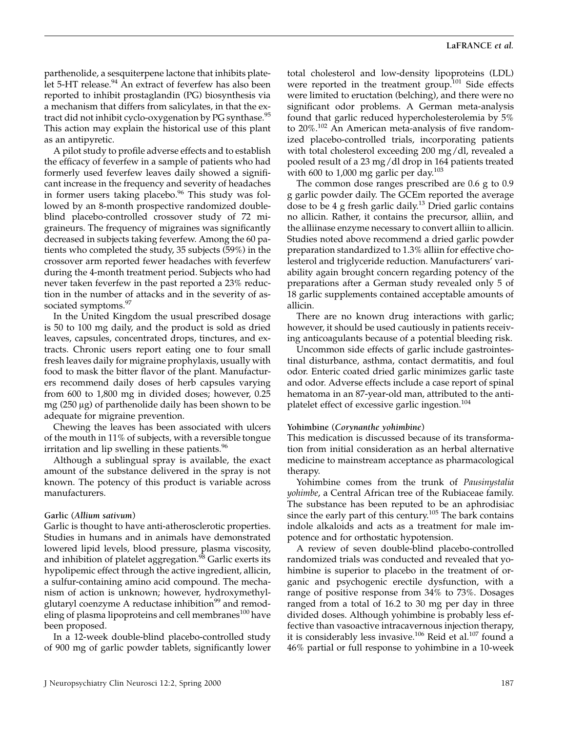parthenolide, a sesquiterpene lactone that inhibits platelet 5-HT release.<sup>94</sup> An extract of feverfew has also been reported to inhibit prostaglandin (PG) biosynthesis via a mechanism that differs from salicylates, in that the extract did not inhibit cyclo-oxygenation by PG synthase.<sup>95</sup> This action may explain the historical use of this plant as an antipyretic.

A pilot study to profile adverse effects and to establish the efficacy of feverfew in a sample of patients who had formerly used feverfew leaves daily showed a significant increase in the frequency and severity of headaches in former users taking placebo.<sup>96</sup> This study was followed by an 8-month prospective randomized doubleblind placebo-controlled crossover study of 72 migraineurs. The frequency of migraines was significantly decreased in subjects taking feverfew. Among the 60 patients who completed the study, 35 subjects (59%) in the crossover arm reported fewer headaches with feverfew during the 4-month treatment period. Subjects who had never taken feverfew in the past reported a 23% reduction in the number of attacks and in the severity of associated symptoms.<sup>97</sup>

In the United Kingdom the usual prescribed dosage is 50 to 100 mg daily, and the product is sold as dried leaves, capsules, concentrated drops, tinctures, and extracts. Chronic users report eating one to four small fresh leaves daily for migraine prophylaxis, usually with food to mask the bitter flavor of the plant. Manufacturers recommend daily doses of herb capsules varying from  $600$  to  $1,800$  mg in divided doses; however,  $0.25$ mg  $(250 \mu g)$  of parthenolide daily has been shown to be adequate for migraine prevention.

Chewing the leaves has been associated with ulcers of the mouth in 11% of subjects, with a reversible tongue irritation and lip swelling in these patients. $96$ 

Although a sublingual spray is available, the exact amount of the substance delivered in the spray is not known. The potency of this product is variable across manufacturers.

# **Garlic (***Allium sativum***)**

Garlic is thought to have anti-atherosclerotic properties. Studies in humans and in animals have demonstrated lowered lipid levels, blood pressure, plasma viscosity, and inhibition of platelet aggregation.<sup>98</sup> Garlic exerts its hypolipemic effect through the active ingredient, allicin, a sulfur-containingamino acid compound. The mechanism of action is unknown; however, hydroxymethylglutaryl coenzyme A reductase inhibition<sup>99</sup> and remodeling of plasma lipoproteins and cell membranes<sup>100</sup> have been proposed.

In a 12-week double-blind placebo-controlled study of 900 mg of garlic powder tablets, significantly lower total cholesterol and low-density lipoproteins (LDL) were reported in the treatment group.<sup>101</sup> Side effects were limited to eructation (belching), and there were no significant odor problems. A German meta-analysis found that garlic reduced hypercholesterolemia by 5% to  $20\%$ .<sup>102</sup> An American meta-analysis of five randomized placebo-controlled trials, incorporating patients with total cholesterol exceeding 200 mg/dl, revealed a pooled result of a 23 mg/dl drop in 164 patients treated with 600 to 1,000 mg garlic per day. $103$ 

The common dose ranges prescribed are 0.6 g to 0.9 g garlic powder daily. The GCEm reported the average dose to be 4 g fresh garlic daily.<sup>13</sup> Dried garlic contains no allicin. Rather, it contains the precursor, alliin, and the alliinase enzyme necessary to convert alliin to allicin. Studies noted above recommend a dried garlic powder preparation standardized to 1.3% alliin for effective cholesterol and triglyceride reduction. Manufacturers' variability again brought concern regarding potency of the preparations after a German study revealed only 5 of 18 garlic supplements contained acceptable amounts of allicin.

There are no known drug interactions with garlic; however, it should be used cautiously in patients receiving anticoagulants because of a potential bleeding risk.

Uncommon side effects of garlic include gastrointestinal disturbance, asthma, contact dermatitis, and foul odor. Enteric coated dried garlic minimizes garlic taste and odor. Adverse effects include a case report of spinal hematoma in an 87-year-old man, attributed to the antiplatelet effect of excessive garlic ingestion.<sup>104</sup>

# **Yohimbine (***Corynanthe yohimbine***)**

This medication is discussed because of its transformation from initial consideration as an herbal alternative medicine to mainstream acceptance as pharmacological therapy.

Yohimbine comes from the trunk of *Pausinystalia yohimbe*, a Central African tree of the Rubiaceae family. The substance has been reputed to be an aphrodisiac since the early part of this century.<sup>105</sup> The bark contains indole alkaloids and acts as a treatment for male impotence and for orthostatic hypotension.

A review of seven double-blind placebo-controlled randomized trials was conducted and revealed that yohimbine is superior to placebo in the treatment of organic and psychogenic erectile dysfunction, with a range of positive response from 34% to 73%. Dosages ranged from a total of 16.2 to 30 mg per day in three divided doses. Although yohimbine is probably less effective than vasoactive intracavernous injection therapy, it is considerably less invasive.106 Reid et al.<sup>107</sup> found a 46% partial or full response to yohimbine in a 10-week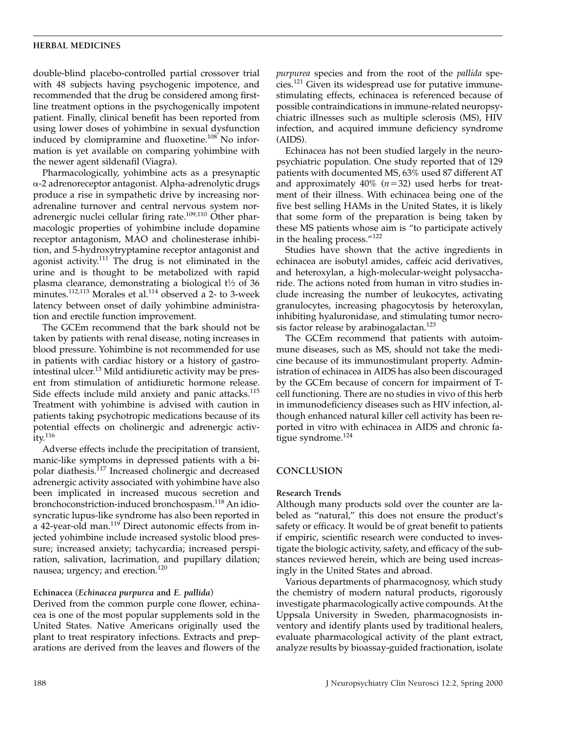double-blind placebo-controlled partial crossover trial with 48 subjects having psychogenic impotence, and recommended that the drug be considered among firstline treatment options in the psychogenically impotent patient. Finally, clinical benefit has been reported from using lower doses of yohimbine in sexual dysfunction induced by clomipramine and fluoxetine. $108$  No information is yet available on comparing yohimbine with the newer agent sildenafil (Viagra).

Pharmacologically, yohimbine acts as a presynaptic -2 adrenoreceptor antagonist. Alpha-adrenolytic drugs produce a rise in sympathetic drive by increasing noradrenaline turnover and central nervous system noradrenergic nuclei cellular firing rate.<sup>109,110</sup> Other pharmacologic properties of yohimbine include dopamine receptor antagonism, MAO and cholinesterase inhibition, and 5-hydroxytryptamine receptor antagonist and agonist activity. $111$  The drug is not eliminated in the urine and is thought to be metabolized with rapid plasma clearance, demonstrating a biological  $t^{1/2}$  of 36 minutes.<sup>112,113</sup> Morales et al.<sup>114</sup> observed a 2- to 3-week latency between onset of daily yohimbine administration and erectile function improvement.

The GCEm recommend that the bark should not be taken by patients with renal disease, noting increases in blood pressure. Yohimbine is not recommended for use in patients with cardiac history or a history of gastrointestinal ulcer.13 Mild antidiuretic activity may be present from stimulation of antidiuretic hormone release. Side effects include mild anxiety and panic attacks. $115$ Treatment with yohimbine is advised with caution in patients taking psychotropic medications because of its potential effects on cholinergic and adrenergic activ- $\frac{1}{1}$ ty.<sup>116</sup>

Adverse effects include the precipitation of transient, manic-like symptoms in depressed patients with a bipolar diathesis.117 Increased cholinergic and decreased adrenergic activity associated with yohimbine have also been implicated in increased mucous secretion and bronchoconstriction-induced bronchospasm.118 An idiosyncratic lupus-like syndrome has also been reported in a 42-year-old man.<sup>119</sup> Direct autonomic effects from injected yohimbine include increased systolic blood pressure; increased anxiety; tachycardia; increased perspiration, salivation, lacrimation, and pupillary dilation; nausea; urgency; and erection.<sup>120</sup>

#### **Echinacea (***Echinacea purpurea* **and** *E. pallida***)**

Derived from the common purple cone flower, echinacea is one of the most popular supplements sold in the United States. Native Americans originally used the plant to treat respiratory infections. Extracts and preparations are derived from the leaves and flowers of the *purpurea* species and from the root of the *pallida* species.121 Given its widespread use for putative immunestimulating effects, echinacea is referenced because of possible contraindications in immune-related neuropsychiatric illnesses such as multiple sclerosis (MS), HIV infection, and acquired immune deficiency syndrome (AIDS).

Echinacea has not been studied largely in the neuropsychiatric population. One study reported that of 129 patients with documented MS, 63% used 87 different AT and approximately  $40\%$  ( $n=32$ ) used herbs for treatment of their illness. With echinacea being one of the five best selling HAMs in the United States, it is likely that some form of the preparation is being taken by these MS patients whose aim is "to participate actively in the healing process." $122$ 

Studies have shown that the active ingredients in echinacea are isobutyl amides, caffeic acid derivatives, and heteroxylan, a high-molecular-weight polysaccharide. The actions noted from human in vitro studies include increasing the number of leukocytes, activating granulocytes, increasing phagocytosis by heteroxylan, inhibiting hyaluronidase, and stimulating tumor necrosis factor release by arabinogalactan.<sup>123</sup>

The GCEm recommend that patients with autoimmune diseases, such as MS, should not take the medicine because of its immunostimulant property. Administration of echinacea in AIDS has also been discouraged by the GCEm because of concern for impairment of Tcell functioning. There are no studies in vivo of this herb in immunodeficiency diseases such as HIV infection, although enhanced natural killer cell activity has been reported in vitro with echinacea in AIDS and chronic fatigue syndrome.<sup>124</sup>

#### **CONCLUSION**

#### **Research Trends**

Although many products sold over the counter are labeled as "natural," this does not ensure the product's safety or efficacy. It would be of great benefit to patients if empiric, scientific research were conducted to investigate the biologic activity, safety, and efficacy of the substances reviewed herein, which are being used increasingly in the United States and abroad.

Various departments of pharmacognosy, which study the chemistry of modern natural products, rigorously investigate pharmacologically active compounds. At the Uppsala University in Sweden, pharmacognosists inventory and identify plants used by traditional healers, evaluate pharmacological activity of the plant extract, analyze results by bioassay-guided fractionation, isolate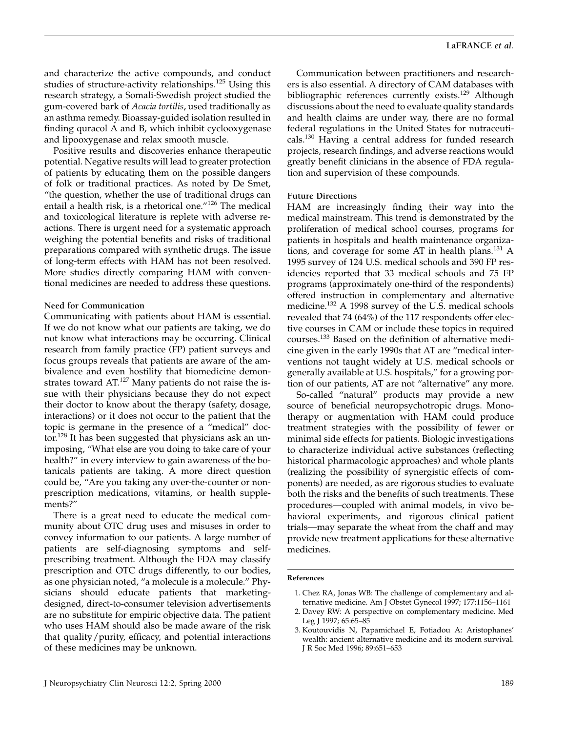and characterize the active compounds, and conduct studies of structure-activity relationships.<sup>125</sup> Using this research strategy, a Somali-Swedish project studied the gum-covered bark of *Acacia tortilis*, used traditionally as an asthma remedy. Bioassay-guided isolation resulted in finding quracol A and B, which inhibit cyclooxygenase and lipooxygenase and relax smooth muscle.

Positive results and discoveries enhance therapeutic potential. Negative results will lead to greater protection of patients by educating them on the possible dangers of folk or traditional practices. As noted by De Smet, "the question, whether the use of traditional drugs can entail a health risk, is a rhetorical one."126 The medical and toxicological literature is replete with adverse reactions. There is urgent need for a systematic approach weighing the potential benefits and risks of traditional preparations compared with synthetic drugs. The issue of long-term effects with HAM has not been resolved. More studies directly comparing HAM with conventional medicines are needed to address these questions.

#### **Need for Communication**

Communicating with patients about HAM is essential. If we do not know what our patients are taking, we do not know what interactions may be occurring. Clinical research from family practice (FP) patient surveys and focus groups reveals that patients are aware of the ambivalence and even hostility that biomedicine demonstrates toward AT.127 Many patients do not raise the issue with their physicians because they do not expect their doctor to know about the therapy (safety, dosage, interactions) or it does not occur to the patient that the topic is germane in the presence of a "medical" doctor.<sup>128</sup> It has been suggested that physicians ask an unimposing, "What else are you doing to take care of your health?" in every interview to gain awareness of the botanicals patients are taking. A more direct question could be, "Are you taking any over-the-counter or nonprescription medications, vitamins, or health supplements?"

There is a great need to educate the medical community about OTC drug uses and misuses in order to convey information to our patients. A large number of patients are self-diagnosing symptoms and selfprescribing treatment. Although the FDA may classify prescription and OTC drugs differently, to our bodies, as one physician noted, "a molecule is a molecule." Physicians should educate patients that marketingdesigned, direct-to-consumer television advertisements are no substitute for empiric objective data. The patient who uses HAM should also be made aware of the risk that quality/purity, efficacy, and potential interactions of these medicines may be unknown.

Communication between practitioners and researchers is also essential. A directory of CAM databases with bibliographic references currently exists.<sup>129</sup> Although discussions about the need to evaluate quality standards and health claims are under way, there are no formal federal regulations in the United States for nutraceuticals.<sup>130</sup> Having a central address for funded research projects, research findings, and adverse reactions would greatly benefit clinicians in the absence of FDA regulation and supervision of these compounds.

#### **Future Directions**

HAM are increasingly finding their way into the medical mainstream. This trend is demonstrated by the proliferation of medical school courses, programs for patients in hospitals and health maintenance organizations, and coverage for some AT in health plans. $131$  A 1995 survey of 124 U.S. medical schools and 390 FP residencies reported that 33 medical schools and 75 FP programs (approximately one-third of the respondents) offered instruction in complementary and alternative medicine.132 A 1998 survey of the U.S. medical schools revealed that 74 (64%) of the 117 respondents offer elective courses in CAM or include these topics in required courses.133 Based on the definition of alternative medicine given in the early 1990s that AT are "medical interventions not taught widely at U.S. medical schools or generally available at U.S. hospitals," for a growing portion of our patients, AT are not "alternative" any more.

So-called "natural" products may provide a new source of beneficial neuropsychotropic drugs. Monotherapy or augmentation with HAM could produce treatment strategies with the possibility of fewer or minimal side effects for patients. Biologic investigations to characterize individual active substances (reflecting historical pharmacologic approaches) and whole plants (realizing the possibility of synergistic effects of components) are needed, as are rigorous studies to evaluate both the risks and the benefits of such treatments. These procedures—coupled with animal models, in vivo behavioral experiments, and rigorous clinical patient trials—may separate the wheat from the chaff and may provide new treatment applications for these alternative medicines.

#### **References**

<sup>1.</sup> Chez RA, Jonas WB: The challenge of complementary and alternative medicine. Am J Obstet Gynecol 1997; 177:1156–1161

<sup>2.</sup> Davey RW: A perspective on complementary medicine. Med LegJ 1997; 65:65–85

<sup>3.</sup> Koutouvidis N, Papamichael E, Fotiadou A: Aristophanes' wealth: ancient alternative medicine and its modern survival. J R Soc Med 1996; 89:651–653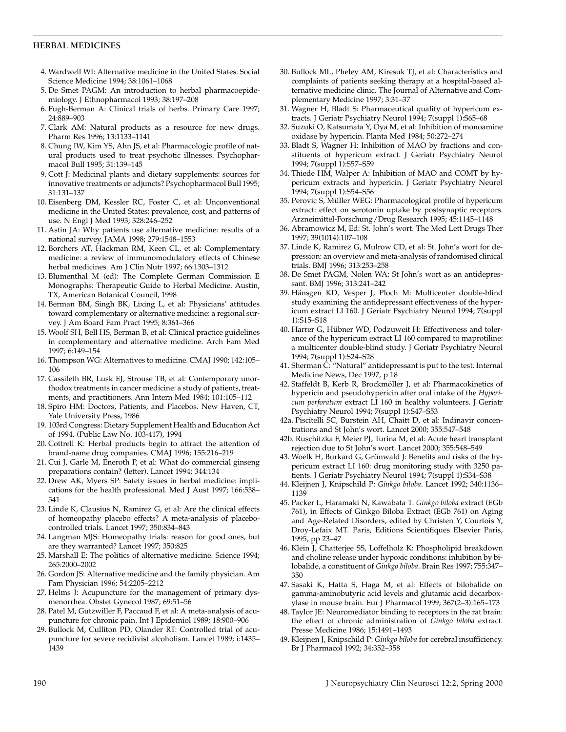- 4. Wardwell WI: Alternative medicine in the United States. Social Science Medicine 1994; 38:1061–1068
- 5. De Smet PAGM: An introduction to herbal pharmacoepidemiology. J Ethnopharmacol 1993; 38:197–208
- 6. Fugh-Berman A: Clinical trials of herbs. Primary Care 1997; 24:889–903
- 7. Clark AM: Natural products as a resource for new drugs. Pharm Res 1996; 13:1133–1141
- 8. Chung IW, Kim YS, Ahn JS, et al: Pharmacologic profile of natural products used to treat psychotic illnesses. Psychopharmacol Bull 1995; 31:139–145
- 9. Cott J: Medicinal plants and dietary supplements: sources for innovative treatments or adjuncts? Psychopharmacol Bull 1995; 31:131–137
- 10. Eisenberg DM, Kessler RC, Foster C, et al: Unconventional medicine in the United States: prevalence, cost, and patterns of use. N Engl J Med 1993; 328:246–252
- 11. Astin JA: Why patients use alternative medicine: results of a national survey. JAMA 1998; 279:1548–1553
- 12. Borchers AT, Hackman RM, Keen CL, et al: Complementary medicine: a review of immunomodulatory effects of Chinese herbal medicines. Am J Clin Nutr 1997; 66:1303–1312
- 13. Blumenthal M (ed): The Complete German Commission E Monographs: Therapeutic Guide to Herbal Medicine. Austin, TX, American Botanical Council, 1998
- 14. Berman BM, Singh BK, Lixing L, et al: Physicians' attitudes toward complementary or alternative medicine: a regional survey. J Am Board Fam Pract 1995; 8:361–366
- 15. Woolf SH, Bell HS, Berman B, et al: Clinical practice guidelines in complementary and alternative medicine. Arch Fam Med 1997; 6:149–154
- 16. Thompson WG: Alternatives to medicine. CMAJ 1990; 142:105– 106
- 17. Cassileth BR, Lusk EJ, Strouse TB, et al: Contemporary unorthodox treatments in cancer medicine: a study of patients, treatments, and practitioners. Ann Intern Med 1984; 101:105–112
- 18. Spiro HM: Doctors, Patients, and Placebos. New Haven, CT, Yale University Press, 1986
- 19. 103rd Congress: Dietary Supplement Health and Education Act of 1994. (Public Law No. 103-417), 1994
- 20. Cottrell K: Herbal products begin to attract the attention of brand-name drug companies. CMAJ 1996; 155:216-219
- 21. Cui J, Garle M, Eneroth P, et al: What do commercial ginseng preparations contain? (letter). Lancet 1994; 344:134
- 22. Drew AK, Myers SP: Safety issues in herbal medicine: implications for the health professional. Med J Aust 1997; 166:538– 541
- 23. Linde K, Clausius N, Ramirez G, et al: Are the clinical effects of homeopathy placebo effects? A meta-analysis of placebocontrolled trials. Lancet 1997; 350:834–843
- 24. Langman MJS: Homeopathy trials: reason for good ones, but are they warranted? Lancet 1997; 350:825
- 25. Marshall E: The politics of alternative medicine. Science 1994; 265:2000–2002
- 26. Gordon JS: Alternative medicine and the family physician. Am Fam Physician 1996; 54:2205–2212
- 27. Helms J: Acupuncture for the management of primary dysmenorrhea. Obstet Gynecol 1987; 69:51–56
- 28. Patel M, Gutzwiller F, Paccaud F, et al: A meta-analysis of acupuncture for chronic pain. Int J Epidemiol 1989; 18:900–906
- 29. Bullock M, Culliton PD, Olander RT: Controlled trial of acupuncture for severe recidivist alcoholism. Lancet 1989; i:1435– 1439
- 30. Bullock ML, Pheley AM, Kiresuk TJ, et al: Characteristics and complaints of patients seeking therapy at a hospital-based alternative medicine clinic. The Journal of Alternative and Complementary Medicine 1997; 3:31–37
- 31. Wagner H, Bladt S: Pharmaceutical quality of hypericum extracts. J Geriatr Psychiatry Neurol 1994; 7(suppl 1):S65–68
- 32. Suzuki O, Katsumata Y, Oya M, et al: Inhibition of monoamine oxidase by hypericin. Planta Med 1984; 50:272–274
- 33. Bladt S, Wagner H: Inhibition of MAO by fractions and constituents of hypericum extract. J Geriatr Psychiatry Neurol 1994; 7(suppl 1):S57–S59
- 34. Thiede HM, Walper A: Inhibition of MAO and COMT by hypericum extracts and hypericin. J Geriatr Psychiatry Neurol 1994; 7(suppl 1):S54–S56
- 35. Perovic S, Müller WEG: Pharmacological profile of hypericum extract: effect on serotonin uptake by postsynaptic receptors. Arzneimittel-Forschung/Drug Research 1995; 45:1145–1148
- 36. Abramowicz M, Ed: St. John's wort. The Med Lett Drugs Ther 1997; 39(1014):107–108
- 37. Linde K, Ramirez G, Mulrow CD, et al: St. John's wort for depression: an overview and meta-analysis of randomised clinical trials. BMJ 1996; 313:253–258
- 38. De Smet PAGM, Nolen WA: St John's wort as an antidepressant. BMJ 1996; 313:241–242
- 39. Hänsgen KD, Vesper J, Ploch M: Multicenter double-blind study examining the antidepressant effectiveness of the hypericum extract LI 160. J Geriatr Psychiatry Neurol 1994; 7(suppl 1):S15–S18
- 40. Harrer G, Hübner WD, Podzuweit H: Effectiveness and tolerance of the hypericum extract LI 160 compared to maprotiline: a multicenter double-blind study. J Geriatr Psychiatry Neurol 1994; 7(suppl 1):S24–S28
- 41. Sherman C: "Natural" antidepressant is put to the test. Internal Medicine News, Dec 1997, p 18
- 42. Staffeldt B, Kerb R, Brockmöller J, et al: Pharmacokinetics of hypericin and pseudohypericin after oral intake of the *Hypericum perforatum* extract LI 160 in healthy volunteers. J Geriatr Psychiatry Neurol 1994; 7(suppl 1):S47–S53
- 42a. Piscitelli SC, Burstein AH, Chaitt D, et al: Indinavir concentrations and St John's wort. Lancet 2000; 355:547–548
- 42b. Ruschitzka F, Meier PJ, Turina M, et al: Acute heart transplant rejection due to St John's wort. Lancet 2000; 355:548–549
- 43. Woelk H, Burkard G, Grünwald J: Benefits and risks of the hypericum extract LI 160: drug monitoring study with 3250 patients. J Geriatr Psychiatry Neurol 1994; 7(suppl 1):S34–S38
- 44. Kleijnen J, Knipschild P: *Ginkgo biloba*. Lancet 1992; 340:1136– 1139
- 45. Packer L, Haramaki N, Kawabata T: *Ginkgo biloba* extract (EGb 761), in Effects of Ginkgo Biloba Extract (EGb 761) on Aging and Age-Related Disorders, edited by Christen Y, Courtois Y, Droy-Lefaix MT. Paris, Editions Scientifiques Elsevier Paris, 1995, pp 23–47
- 46. Klein J, Chatterjee SS, Loffelholz K: Phospholipid breakdown and choline release under hypoxic conditions: inhibition by bilobalide, a constituent of *Ginkgo biloba*. Brain Res 1997; 755:347– 350
- 47. Sasaki K, Hatta S, Haga M, et al: Effects of bilobalide on gamma-aminobutyric acid levels and glutamic acid decarboxylase in mouse brain. Eur J Pharmacol 1999; 367(2–3):165–173
- 48. Taylor JE: Neuromediator binding to receptors in the rat brain: the effect of chronic administration of *Ginkgo biloba* extract. Presse Medicine 1986; 15:1491–1493
- 49. Kleijnen J, Knipschild P: *Ginkgo biloba* for cerebral insufficiency. Br J Pharmacol 1992; 34:352–358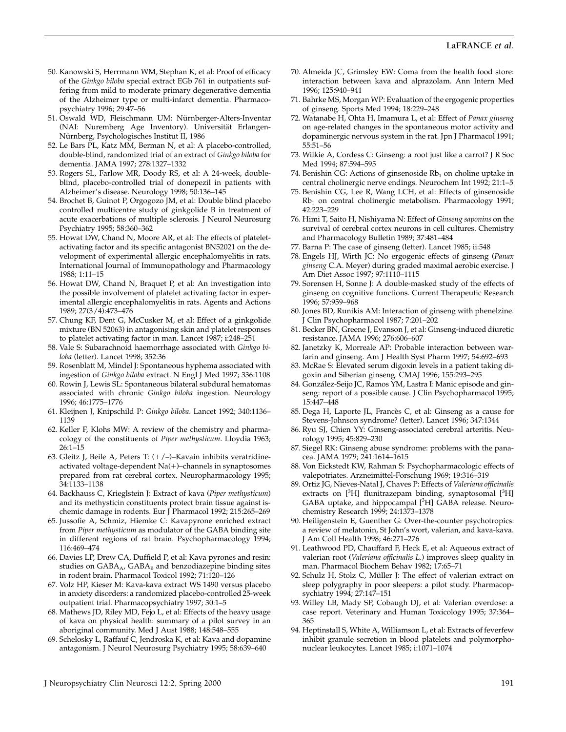- 50. Kanowski S, Herrmann WM, Stephan K, et al: Proof of efficacy of the *Ginkgo biloba* special extract EGb 761 in outpatients suffering from mild to moderate primary degenerative dementia of the Alzheimer type or multi-infarct dementia. Pharmacopsychiatry 1996; 29:47–56
- 51. Oswald WD, Fleischmann UM: Nürnberger-Alters-Inventar (NAI: Nuremberg Age Inventory). Universität Erlangen-Nürnberg, Psychologisches Institut II, 1986
- 52. Le Bars PL, Katz MM, Berman N, et al: A placebo-controlled, double-blind, randomized trial of an extract of *Ginkgo biloba* for dementia. JAMA 1997; 278:1327–1332
- 53. Rogers SL, Farlow MR, Doody RS, et al: A 24-week, doubleblind, placebo-controlled trial of donepezil in patients with Alzheimer's disease. Neurology 1998; 50:136–145
- 54. Brochet B, Guinot P, Orgogozo JM, et al: Double blind placebo controlled multicentre study of ginkgolide B in treatment of acute exacerbations of multiple sclerosis. J Neurol Neurosurg Psychiatry 1995; 58:360–362
- 55. Howat DW, Chand N, Moore AR, et al: The effects of plateletactivating factor and its specific antagonist BN52021 on the development of experimental allergic encephalomyelitis in rats. International Journal of Immunopathology and Pharmacology 1988; 1:11–15
- 56. Howat DW, Chand N, Braquet P, et al: An investigation into the possible involvement of platelet activating factor in experimental allergic encephalomyelitis in rats. Agents and Actions 1989; 27(3/4):473–476
- 57. Chung KF, Dent G, McCusker M, et al: Effect of a ginkgolide mixture (BN 52063) in antagonising skin and platelet responses to platelet activating factor in man. Lancet 1987; i:248-251
- 58. Vale S: Subarachnoid haemorrhage associated with *Ginkgo biloba* (letter). Lancet 1998; 352:36
- 59. Rosenblatt M, Mindel J: Spontaneous hyphema associated with ingestion of *Ginkgo biloba* extract. N Engl J Med 1997; 336:1108
- 60. Rowin J, Lewis SL: Spontaneous bilateral subdural hematomas associated with chronic *Ginkgo biloba* ingestion. Neurology 1996; 46:1775–1776
- 61. Kleijnen J, Knipschild P: *Ginkgo biloba*. Lancet 1992; 340:1136– 1139
- 62. Keller F, Klohs MW: A review of the chemistry and pharmacology of the constituents of *Piper methysticum*. Lloydia 1963; 26:1–15
- 63. Gleitz J, Beile A, Peters T: (+/-)-Kavain inhibits veratridineactivated voltage-dependent Na(+)–channels in synaptosomes prepared from rat cerebral cortex. Neuropharmacology 1995; 34:1133–1138
- 64. Backhauss C, Krieglstein J: Extract of kava (*Piper methysticum*) and its methysticin constituents protect brain tissue against ischemic damage in rodents. Eur J Pharmacol 1992; 215:265–269
- 65. Jussofie A, Schmiz, Hiemke C: Kavapyrone enriched extract from *Piper methysticum* as modulator of the GABA binding site in different regions of rat brain. Psychopharmacology 1994; 116:469–474
- 66. Davies LP, Drew CA, Duffield P, et al: Kava pyrones and resin: studies on  $GABA_{A}$ ,  $GABA_B$  and benzodiazepine binding sites in rodent brain. Pharmacol Toxicol 1992; 71:120–126
- 67. Volz HP, Kieser M: Kava-kava extract WS 1490 versus placebo in anxiety disorders: a randomized placebo-controlled 25-week outpatient trial. Pharmacopsychiatry 1997; 30:1–5
- 68. Mathews JD, Riley MD, Fejo L, et al: Effects of the heavy usage of kava on physical health: summary of a pilot survey in an aboriginal community. Med J Aust 1988; 148:548–555
- 69. Schelosky L, Raffauf C, Jendroska K, et al: Kava and dopamine antagonism. J Neurol Neurosurg Psychiatry 1995; 58:639–640
- 70. Almeida JC, Grimsley EW: Coma from the health food store: interaction between kava and alprazolam. Ann Intern Med 1996; 125:940–941
- 71. Bahrke MS, Morgan WP: Evaluation of the ergogenic properties of ginseng. Sports Med 1994; 18:229–248
- 72. Watanabe H, Ohta H, Imamura L, et al: Effect of *Panax ginseng* on age-related changes in the spontaneous motor activity and dopaminergic nervous system in the rat. Jpn J Pharmacol 1991; 55:51–56
- 73. Wilkie A, Cordess C: Ginseng: a root just like a carrot? J R Soc Med 1994; 87:594–595
- 74. Benishin CG: Actions of ginsenoside  $Rb<sub>1</sub>$  on choline uptake in central cholinergic nerve endings. Neurochem Int 1992; 21:1–5
- 75. Benishin CG, Lee R, Wang LCH, et al: Effects of ginsenoside  $Rb<sub>1</sub>$  on central cholinergic metabolism. Pharmacology 1991; 42:223–229
- 76. Himi T, Saito H, Nishiyama N: Effect of *Ginseng saponins* on the survival of cerebral cortex neurons in cell cultures. Chemistry and Pharmacology Bulletin 1989; 37:481–484
- 77. Barna P: The case of ginseng (letter). Lancet 1985; ii:548
- 78. Engels HJ, Wirth JC: No ergogenic effects of ginseng (*Panax ginseng* C.A. Meyer) duringgraded maximal aerobic exercise. J Am Diet Assoc 1997; 97:1110–1115
- 79. Sorensen H, Sonne J: A double-masked study of the effects of ginseng on cognitive functions. Current Therapeutic Research 1996; 57:959–968
- 80. Jones BD, Runikis AM: Interaction of ginseng with phenelzine. J Clin Psychopharmacol 1987; 7:201–202
- 81. Becker BN, Greene J, Evanson J, et al: Ginseng-induced diuretic resistance. JAMA 1996; 276:606–607
- 82. Janetzky K, Morreale AP: Probable interaction between warfarin and ginseng. Am J Health Syst Pharm 1997; 54:692–693
- 83. McRae S: Elevated serum digoxin levels in a patient taking digoxin and Siberian ginseng. CMAJ 1996; 155:293–295
- 84. González-Seijo JC, Ramos YM, Lastra I: Manic episode and ginseng: report of a possible cause. J Clin Psychopharmacol 1995; 15:447–448
- 85. Dega H, Laporte JL, Francès C, et al: Ginseng as a cause for Stevens-Johnson syndrome? (letter). Lancet 1996; 347:1344
- 86. Ryu SJ, Chien YY: Ginseng-associated cerebral arteritis. Neurology 1995; 45:829–230
- 87. Siegel RK: Ginseng abuse syndrome: problems with the panacea. JAMA 1979; 241:1614–1615
- 88. Von Eickstedt KW, Rahman S: Psychopharmacologic effects of valepotriates. Arzneimittel-Forschung 1969; 19:316-319
- 89. Ortiz JG, Nieves-Natal J, Chaves P: Effects of *Valeriana officinalis* extracts on [<sup>3</sup>H] flunitrazepam binding, synaptosomal [<sup>3</sup>H] GABA uptake, and hippocampal [<sup>3</sup>H] GABA release. Neurochemistry Research 1999; 24:1373–1378
- 90. Heiligenstein E, Guenther G: Over-the-counter psychotropics: a review of melatonin, St John's wort, valerian, and kava-kava. J Am Coll Health 1998; 46:271–276
- 91. Leathwood PD, Chauffard F, Heck E, et al: Aqueous extract of valerian root (*Valeriana officinalis L.*) improves sleep quality in man. Pharmacol Biochem Behav 1982; 17:65–71
- 92. Schulz H, Stolz C, Müller J: The effect of valerian extract on sleep polygraphy in poor sleepers: a pilot study. Pharmacopsychiatry 1994; 27:147–151
- 93. Willey LB, Mady SP, Cobaugh DJ, et al: Valerian overdose: a case report. Veterinary and Human Toxicology 1995; 37:364– 365
- 94. Heptinstall S, White A, Williamson L, et al: Extracts of feverfew inhibit granule secretion in blood platelets and polymorphonuclear leukocytes. Lancet 1985; i:1071–1074